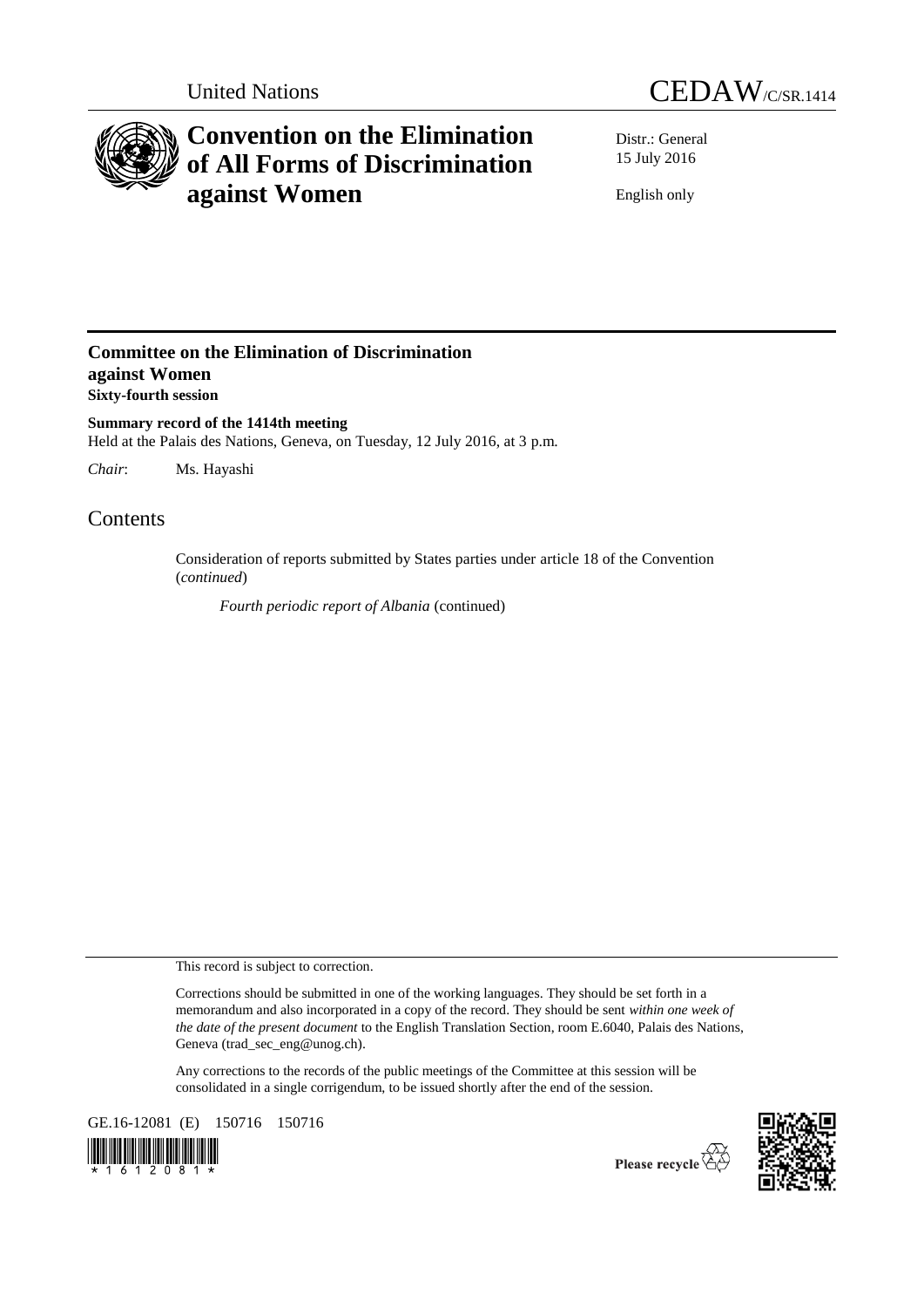



# **Convention on the Elimination of All Forms of Discrimination against Women**

Distr.: General 15 July 2016

English only

## **Committee on the Elimination of Discrimination against Women Sixty-fourth session**

**Summary record of the 1414th meeting** Held at the Palais des Nations, Geneva, on Tuesday, 12 July 2016, at 3 p.m.

*Chair*: Ms. Hayashi

## Contents

Consideration of reports submitted by States parties under article 18 of the Convention (*continued*)

*Fourth periodic report of Albania* (continued)

This record is subject to correction.

Corrections should be submitted in one of the working languages. They should be set forth in a memorandum and also incorporated in a copy of the record. They should be sent *within one week of the date of the present document* to the English Translation Section, room E.6040, Palais des Nations, Geneva (trad\_sec\_eng@unog.ch).

Any corrections to the records of the public meetings of the Committee at this session will be consolidated in a single corrigendum, to be issued shortly after the end of the session.

GE.16-12081 (E) 150716 150716





Please recycle  $\overleftrightarrow{C}$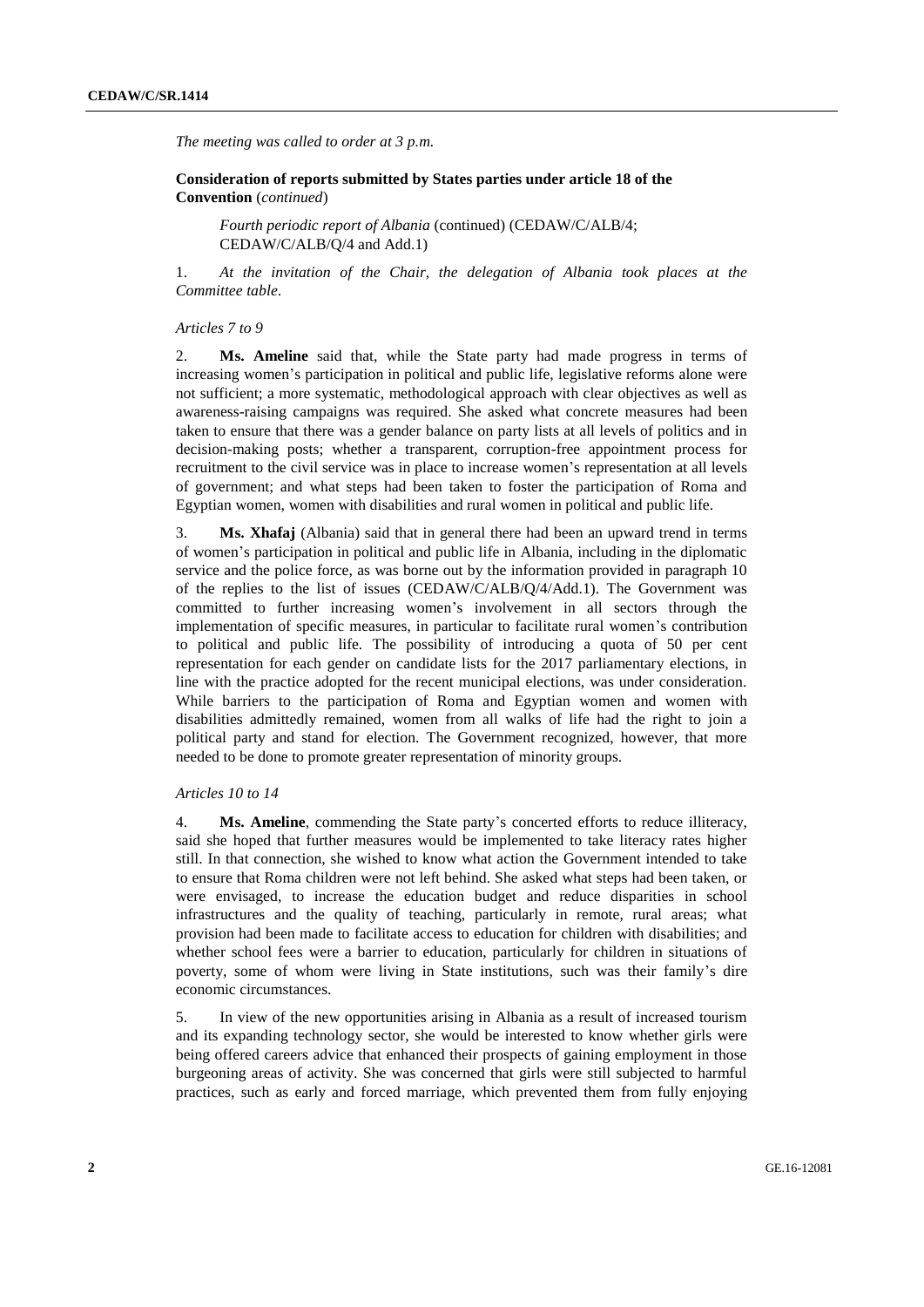*The meeting was called to order at 3 p.m.*

**Consideration of reports submitted by States parties under article 18 of the Convention** (*continued*)

*Fourth periodic report of Albania* (continued) (CEDAW/C/ALB/4; CEDAW/C/ALB/Q/4 and Add.1)

1. *At the invitation of the Chair, the delegation of Albania took places at the Committee table*.

#### *Articles 7 to 9*

2. **Ms. Ameline** said that, while the State party had made progress in terms of increasing women's participation in political and public life, legislative reforms alone were not sufficient; a more systematic, methodological approach with clear objectives as well as awareness-raising campaigns was required. She asked what concrete measures had been taken to ensure that there was a gender balance on party lists at all levels of politics and in decision-making posts; whether a transparent, corruption-free appointment process for recruitment to the civil service was in place to increase women's representation at all levels of government; and what steps had been taken to foster the participation of Roma and Egyptian women, women with disabilities and rural women in political and public life.

3. **Ms. Xhafaj** (Albania) said that in general there had been an upward trend in terms of women's participation in political and public life in Albania, including in the diplomatic service and the police force, as was borne out by the information provided in paragraph 10 of the replies to the list of issues (CEDAW/C/ALB/Q/4/Add.1). The Government was committed to further increasing women's involvement in all sectors through the implementation of specific measures, in particular to facilitate rural women's contribution to political and public life. The possibility of introducing a quota of 50 per cent representation for each gender on candidate lists for the 2017 parliamentary elections, in line with the practice adopted for the recent municipal elections, was under consideration. While barriers to the participation of Roma and Egyptian women and women with disabilities admittedly remained, women from all walks of life had the right to join a political party and stand for election. The Government recognized, however, that more needed to be done to promote greater representation of minority groups.

### *Articles 10 to 14*

4. **Ms. Ameline**, commending the State party's concerted efforts to reduce illiteracy, said she hoped that further measures would be implemented to take literacy rates higher still. In that connection, she wished to know what action the Government intended to take to ensure that Roma children were not left behind. She asked what steps had been taken, or were envisaged, to increase the education budget and reduce disparities in school infrastructures and the quality of teaching, particularly in remote, rural areas; what provision had been made to facilitate access to education for children with disabilities; and whether school fees were a barrier to education, particularly for children in situations of poverty, some of whom were living in State institutions, such was their family's dire economic circumstances.

5. In view of the new opportunities arising in Albania as a result of increased tourism and its expanding technology sector, she would be interested to know whether girls were being offered careers advice that enhanced their prospects of gaining employment in those burgeoning areas of activity. She was concerned that girls were still subjected to harmful practices, such as early and forced marriage, which prevented them from fully enjoying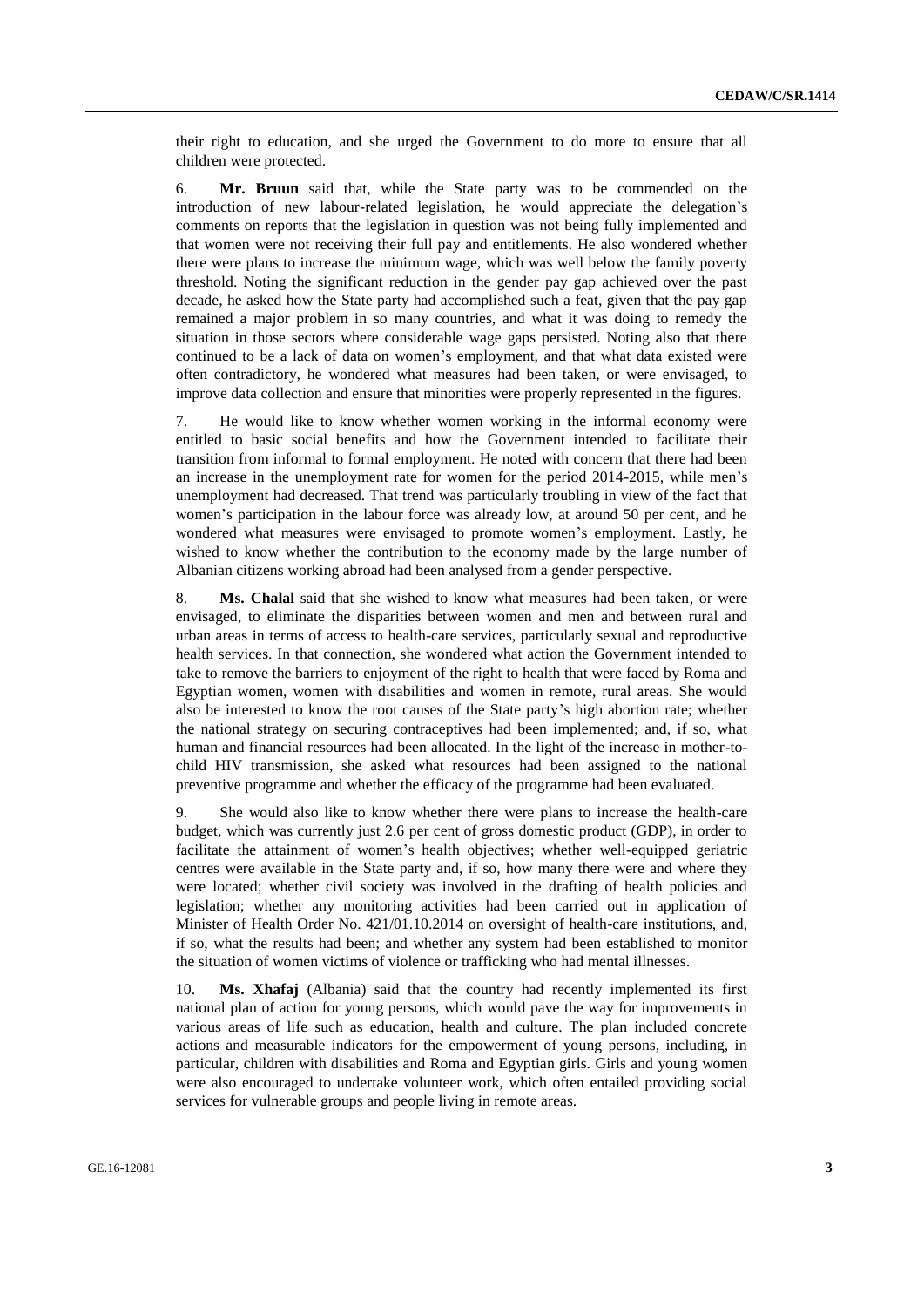their right to education, and she urged the Government to do more to ensure that all children were protected.

6. **Mr. Bruun** said that, while the State party was to be commended on the introduction of new labour-related legislation, he would appreciate the delegation's comments on reports that the legislation in question was not being fully implemented and that women were not receiving their full pay and entitlements. He also wondered whether there were plans to increase the minimum wage, which was well below the family poverty threshold. Noting the significant reduction in the gender pay gap achieved over the past decade, he asked how the State party had accomplished such a feat, given that the pay gap remained a major problem in so many countries, and what it was doing to remedy the situation in those sectors where considerable wage gaps persisted. Noting also that there continued to be a lack of data on women's employment, and that what data existed were often contradictory, he wondered what measures had been taken, or were envisaged, to improve data collection and ensure that minorities were properly represented in the figures.

7. He would like to know whether women working in the informal economy were entitled to basic social benefits and how the Government intended to facilitate their transition from informal to formal employment. He noted with concern that there had been an increase in the unemployment rate for women for the period 2014-2015, while men's unemployment had decreased. That trend was particularly troubling in view of the fact that women's participation in the labour force was already low, at around 50 per cent, and he wondered what measures were envisaged to promote women's employment. Lastly, he wished to know whether the contribution to the economy made by the large number of Albanian citizens working abroad had been analysed from a gender perspective.

8. **Ms. Chalal** said that she wished to know what measures had been taken, or were envisaged, to eliminate the disparities between women and men and between rural and urban areas in terms of access to health-care services, particularly sexual and reproductive health services. In that connection, she wondered what action the Government intended to take to remove the barriers to enjoyment of the right to health that were faced by Roma and Egyptian women, women with disabilities and women in remote, rural areas. She would also be interested to know the root causes of the State party's high abortion rate; whether the national strategy on securing contraceptives had been implemented; and, if so, what human and financial resources had been allocated. In the light of the increase in mother-tochild HIV transmission, she asked what resources had been assigned to the national preventive programme and whether the efficacy of the programme had been evaluated.

9. She would also like to know whether there were plans to increase the health-care budget, which was currently just 2.6 per cent of gross domestic product (GDP), in order to facilitate the attainment of women's health objectives; whether well-equipped geriatric centres were available in the State party and, if so, how many there were and where they were located; whether civil society was involved in the drafting of health policies and legislation; whether any monitoring activities had been carried out in application of Minister of Health Order No. 421/01.10.2014 on oversight of health-care institutions, and, if so, what the results had been; and whether any system had been established to monitor the situation of women victims of violence or trafficking who had mental illnesses.

10. **Ms. Xhafaj** (Albania) said that the country had recently implemented its first national plan of action for young persons, which would pave the way for improvements in various areas of life such as education, health and culture. The plan included concrete actions and measurable indicators for the empowerment of young persons, including, in particular, children with disabilities and Roma and Egyptian girls. Girls and young women were also encouraged to undertake volunteer work, which often entailed providing social services for vulnerable groups and people living in remote areas.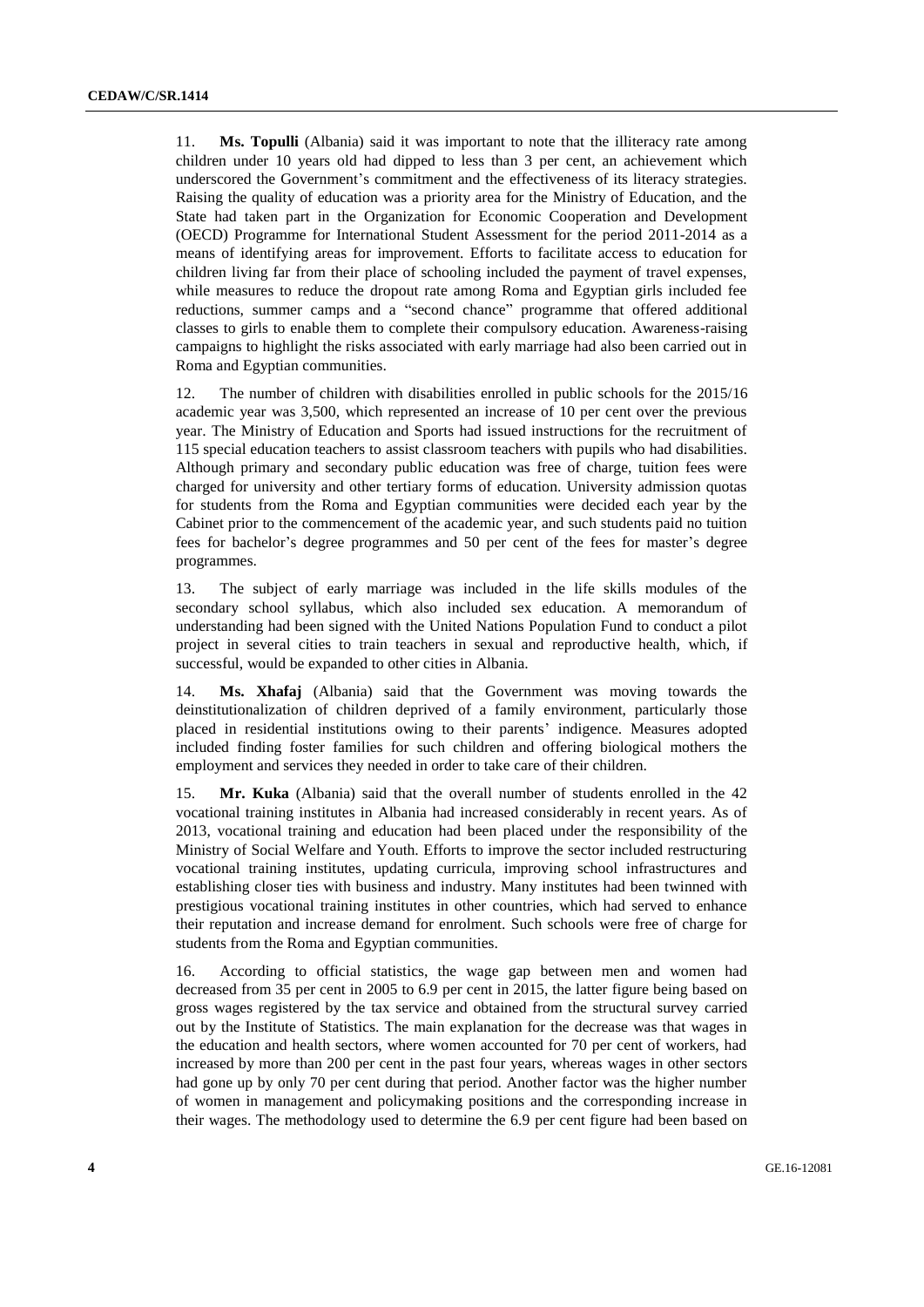11. **Ms. Topulli** (Albania) said it was important to note that the illiteracy rate among children under 10 years old had dipped to less than 3 per cent, an achievement which underscored the Government's commitment and the effectiveness of its literacy strategies. Raising the quality of education was a priority area for the Ministry of Education, and the State had taken part in the Organization for Economic Cooperation and Development (OECD) Programme for International Student Assessment for the period 2011-2014 as a means of identifying areas for improvement. Efforts to facilitate access to education for children living far from their place of schooling included the payment of travel expenses, while measures to reduce the dropout rate among Roma and Egyptian girls included fee reductions, summer camps and a "second chance" programme that offered additional classes to girls to enable them to complete their compulsory education. Awareness-raising campaigns to highlight the risks associated with early marriage had also been carried out in Roma and Egyptian communities.

12. The number of children with disabilities enrolled in public schools for the 2015/16 academic year was 3,500, which represented an increase of 10 per cent over the previous year. The Ministry of Education and Sports had issued instructions for the recruitment of 115 special education teachers to assist classroom teachers with pupils who had disabilities. Although primary and secondary public education was free of charge, tuition fees were charged for university and other tertiary forms of education. University admission quotas for students from the Roma and Egyptian communities were decided each year by the Cabinet prior to the commencement of the academic year, and such students paid no tuition fees for bachelor's degree programmes and 50 per cent of the fees for master's degree programmes.

13. The subject of early marriage was included in the life skills modules of the secondary school syllabus, which also included sex education. A memorandum of understanding had been signed with the United Nations Population Fund to conduct a pilot project in several cities to train teachers in sexual and reproductive health, which, if successful, would be expanded to other cities in Albania.

14. **Ms. Xhafaj** (Albania) said that the Government was moving towards the deinstitutionalization of children deprived of a family environment, particularly those placed in residential institutions owing to their parents' indigence. Measures adopted included finding foster families for such children and offering biological mothers the employment and services they needed in order to take care of their children.

15. **Mr. Kuka** (Albania) said that the overall number of students enrolled in the 42 vocational training institutes in Albania had increased considerably in recent years. As of 2013, vocational training and education had been placed under the responsibility of the Ministry of Social Welfare and Youth. Efforts to improve the sector included restructuring vocational training institutes, updating curricula, improving school infrastructures and establishing closer ties with business and industry. Many institutes had been twinned with prestigious vocational training institutes in other countries, which had served to enhance their reputation and increase demand for enrolment. Such schools were free of charge for students from the Roma and Egyptian communities.

16. According to official statistics, the wage gap between men and women had decreased from 35 per cent in 2005 to 6.9 per cent in 2015, the latter figure being based on gross wages registered by the tax service and obtained from the structural survey carried out by the Institute of Statistics. The main explanation for the decrease was that wages in the education and health sectors, where women accounted for 70 per cent of workers, had increased by more than 200 per cent in the past four years, whereas wages in other sectors had gone up by only 70 per cent during that period. Another factor was the higher number of women in management and policymaking positions and the corresponding increase in their wages. The methodology used to determine the 6.9 per cent figure had been based on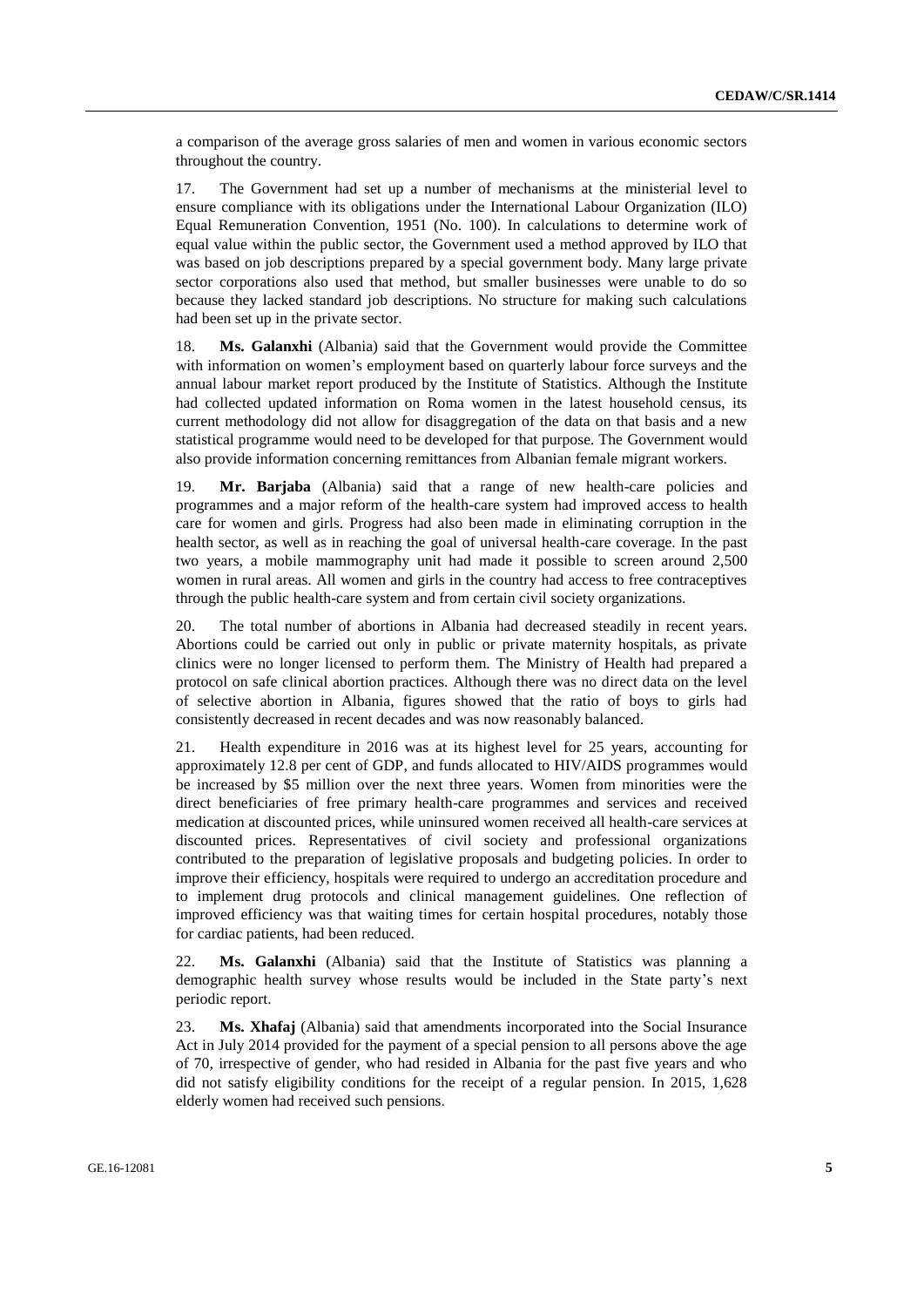a comparison of the average gross salaries of men and women in various economic sectors throughout the country.

17. The Government had set up a number of mechanisms at the ministerial level to ensure compliance with its obligations under the International Labour Organization (ILO) Equal Remuneration Convention, 1951 (No. 100). In calculations to determine work of equal value within the public sector, the Government used a method approved by ILO that was based on job descriptions prepared by a special government body. Many large private sector corporations also used that method, but smaller businesses were unable to do so because they lacked standard job descriptions. No structure for making such calculations had been set up in the private sector.

18. **Ms. Galanxhi** (Albania) said that the Government would provide the Committee with information on women's employment based on quarterly labour force surveys and the annual labour market report produced by the Institute of Statistics. Although the Institute had collected updated information on Roma women in the latest household census, its current methodology did not allow for disaggregation of the data on that basis and a new statistical programme would need to be developed for that purpose. The Government would also provide information concerning remittances from Albanian female migrant workers.

19. **Mr. Barjaba** (Albania) said that a range of new health-care policies and programmes and a major reform of the health-care system had improved access to health care for women and girls. Progress had also been made in eliminating corruption in the health sector, as well as in reaching the goal of universal health-care coverage. In the past two years, a mobile mammography unit had made it possible to screen around 2,500 women in rural areas. All women and girls in the country had access to free contraceptives through the public health-care system and from certain civil society organizations.

20. The total number of abortions in Albania had decreased steadily in recent years. Abortions could be carried out only in public or private maternity hospitals, as private clinics were no longer licensed to perform them. The Ministry of Health had prepared a protocol on safe clinical abortion practices. Although there was no direct data on the level of selective abortion in Albania, figures showed that the ratio of boys to girls had consistently decreased in recent decades and was now reasonably balanced.

21. Health expenditure in 2016 was at its highest level for 25 years, accounting for approximately 12.8 per cent of GDP, and funds allocated to HIV/AIDS programmes would be increased by \$5 million over the next three years. Women from minorities were the direct beneficiaries of free primary health-care programmes and services and received medication at discounted prices, while uninsured women received all health-care services at discounted prices. Representatives of civil society and professional organizations contributed to the preparation of legislative proposals and budgeting policies. In order to improve their efficiency, hospitals were required to undergo an accreditation procedure and to implement drug protocols and clinical management guidelines. One reflection of improved efficiency was that waiting times for certain hospital procedures, notably those for cardiac patients, had been reduced.

22. **Ms. Galanxhi** (Albania) said that the Institute of Statistics was planning a demographic health survey whose results would be included in the State party's next periodic report.

23. **Ms. Xhafaj** (Albania) said that amendments incorporated into the Social Insurance Act in July 2014 provided for the payment of a special pension to all persons above the age of 70, irrespective of gender, who had resided in Albania for the past five years and who did not satisfy eligibility conditions for the receipt of a regular pension. In 2015, 1,628 elderly women had received such pensions.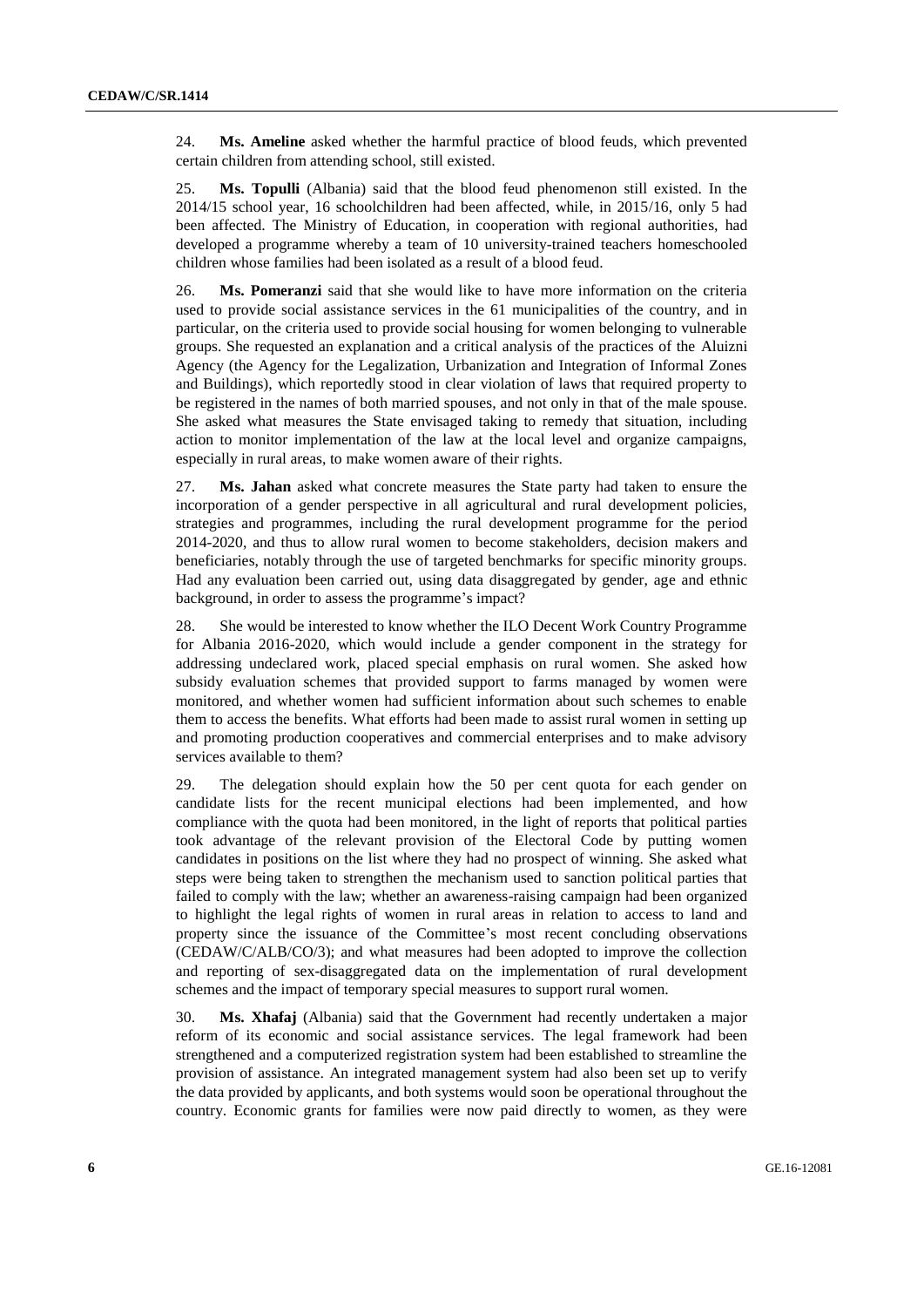24. **Ms. Ameline** asked whether the harmful practice of blood feuds, which prevented certain children from attending school, still existed.

25. **Ms. Topulli** (Albania) said that the blood feud phenomenon still existed. In the 2014/15 school year, 16 schoolchildren had been affected, while, in 2015/16, only 5 had been affected. The Ministry of Education, in cooperation with regional authorities, had developed a programme whereby a team of 10 university-trained teachers homeschooled children whose families had been isolated as a result of a blood feud.

26. **Ms. Pomeranzi** said that she would like to have more information on the criteria used to provide social assistance services in the 61 municipalities of the country, and in particular, on the criteria used to provide social housing for women belonging to vulnerable groups. She requested an explanation and a critical analysis of the practices of the Aluizni Agency (the Agency for the Legalization, Urbanization and Integration of Informal Zones and Buildings), which reportedly stood in clear violation of laws that required property to be registered in the names of both married spouses, and not only in that of the male spouse. She asked what measures the State envisaged taking to remedy that situation, including action to monitor implementation of the law at the local level and organize campaigns, especially in rural areas, to make women aware of their rights.

27. **Ms. Jahan** asked what concrete measures the State party had taken to ensure the incorporation of a gender perspective in all agricultural and rural development policies, strategies and programmes, including the rural development programme for the period 2014-2020, and thus to allow rural women to become stakeholders, decision makers and beneficiaries, notably through the use of targeted benchmarks for specific minority groups. Had any evaluation been carried out, using data disaggregated by gender, age and ethnic background, in order to assess the programme's impact?

28. She would be interested to know whether the ILO Decent Work Country Programme for Albania 2016-2020, which would include a gender component in the strategy for addressing undeclared work, placed special emphasis on rural women. She asked how subsidy evaluation schemes that provided support to farms managed by women were monitored, and whether women had sufficient information about such schemes to enable them to access the benefits. What efforts had been made to assist rural women in setting up and promoting production cooperatives and commercial enterprises and to make advisory services available to them?

29. The delegation should explain how the 50 per cent quota for each gender on candidate lists for the recent municipal elections had been implemented, and how compliance with the quota had been monitored, in the light of reports that political parties took advantage of the relevant provision of the Electoral Code by putting women candidates in positions on the list where they had no prospect of winning. She asked what steps were being taken to strengthen the mechanism used to sanction political parties that failed to comply with the law; whether an awareness-raising campaign had been organized to highlight the legal rights of women in rural areas in relation to access to land and property since the issuance of the Committee's most recent concluding observations (CEDAW/C/ALB/CO/3); and what measures had been adopted to improve the collection and reporting of sex-disaggregated data on the implementation of rural development schemes and the impact of temporary special measures to support rural women.

30. **Ms. Xhafaj** (Albania) said that the Government had recently undertaken a major reform of its economic and social assistance services. The legal framework had been strengthened and a computerized registration system had been established to streamline the provision of assistance. An integrated management system had also been set up to verify the data provided by applicants, and both systems would soon be operational throughout the country. Economic grants for families were now paid directly to women, as they were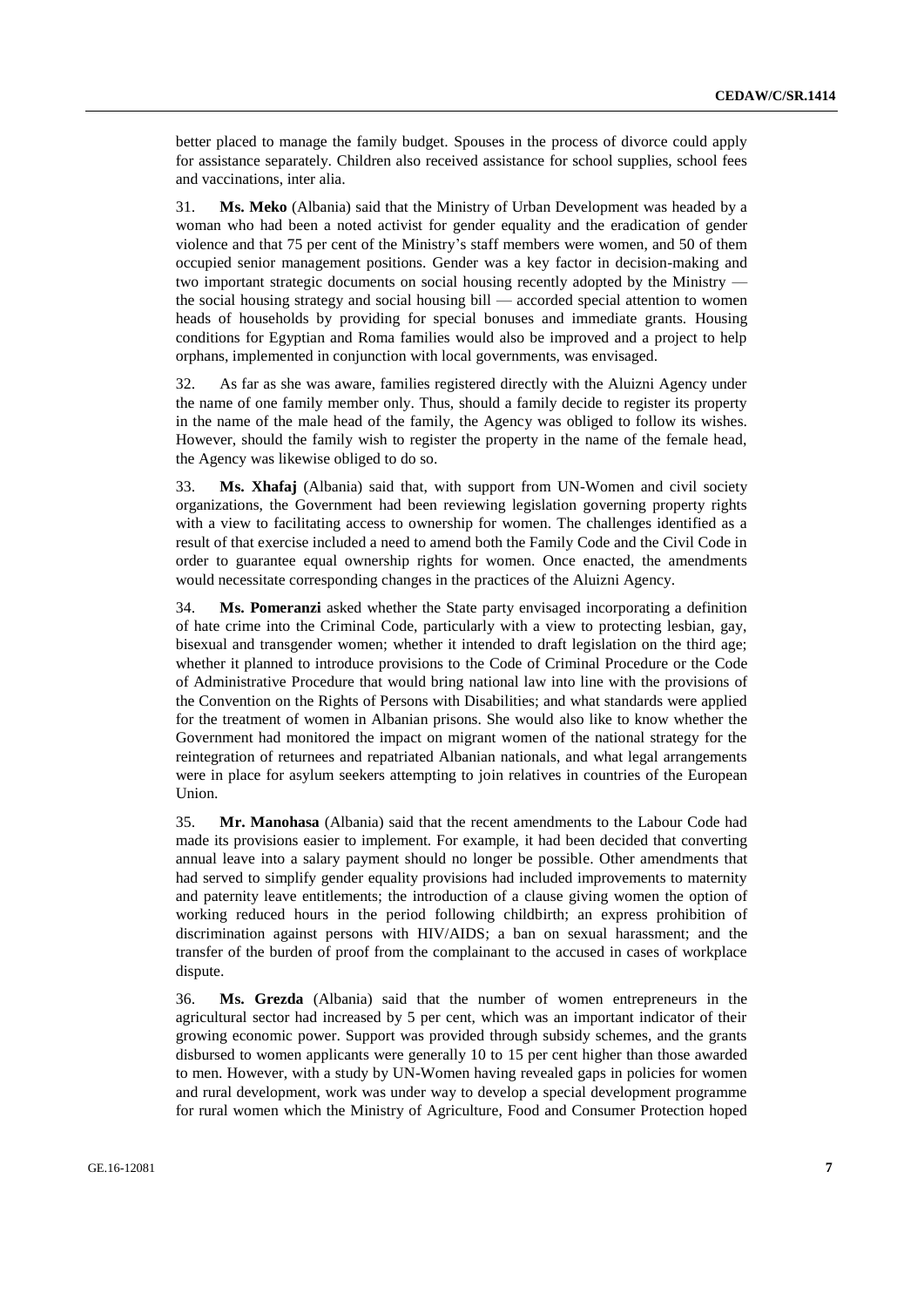better placed to manage the family budget. Spouses in the process of divorce could apply for assistance separately. Children also received assistance for school supplies, school fees and vaccinations, inter alia.

31. **Ms. Meko** (Albania) said that the Ministry of Urban Development was headed by a woman who had been a noted activist for gender equality and the eradication of gender violence and that 75 per cent of the Ministry's staff members were women, and 50 of them occupied senior management positions. Gender was a key factor in decision-making and two important strategic documents on social housing recently adopted by the Ministry the social housing strategy and social housing bill — accorded special attention to women heads of households by providing for special bonuses and immediate grants. Housing conditions for Egyptian and Roma families would also be improved and a project to help orphans, implemented in conjunction with local governments, was envisaged.

32. As far as she was aware, families registered directly with the Aluizni Agency under the name of one family member only. Thus, should a family decide to register its property in the name of the male head of the family, the Agency was obliged to follow its wishes. However, should the family wish to register the property in the name of the female head, the Agency was likewise obliged to do so.

33. **Ms. Xhafaj** (Albania) said that, with support from UN-Women and civil society organizations, the Government had been reviewing legislation governing property rights with a view to facilitating access to ownership for women. The challenges identified as a result of that exercise included a need to amend both the Family Code and the Civil Code in order to guarantee equal ownership rights for women. Once enacted, the amendments would necessitate corresponding changes in the practices of the Aluizni Agency.

34. **Ms. Pomeranzi** asked whether the State party envisaged incorporating a definition of hate crime into the Criminal Code, particularly with a view to protecting lesbian, gay, bisexual and transgender women; whether it intended to draft legislation on the third age; whether it planned to introduce provisions to the Code of Criminal Procedure or the Code of Administrative Procedure that would bring national law into line with the provisions of the Convention on the Rights of Persons with Disabilities; and what standards were applied for the treatment of women in Albanian prisons. She would also like to know whether the Government had monitored the impact on migrant women of the national strategy for the reintegration of returnees and repatriated Albanian nationals, and what legal arrangements were in place for asylum seekers attempting to join relatives in countries of the European Union.

35. **Mr. Manohasa** (Albania) said that the recent amendments to the Labour Code had made its provisions easier to implement. For example, it had been decided that converting annual leave into a salary payment should no longer be possible. Other amendments that had served to simplify gender equality provisions had included improvements to maternity and paternity leave entitlements; the introduction of a clause giving women the option of working reduced hours in the period following childbirth; an express prohibition of discrimination against persons with HIV/AIDS; a ban on sexual harassment; and the transfer of the burden of proof from the complainant to the accused in cases of workplace dispute.

36. **Ms. Grezda** (Albania) said that the number of women entrepreneurs in the agricultural sector had increased by 5 per cent, which was an important indicator of their growing economic power. Support was provided through subsidy schemes, and the grants disbursed to women applicants were generally 10 to 15 per cent higher than those awarded to men. However, with a study by UN-Women having revealed gaps in policies for women and rural development, work was under way to develop a special development programme for rural women which the Ministry of Agriculture, Food and Consumer Protection hoped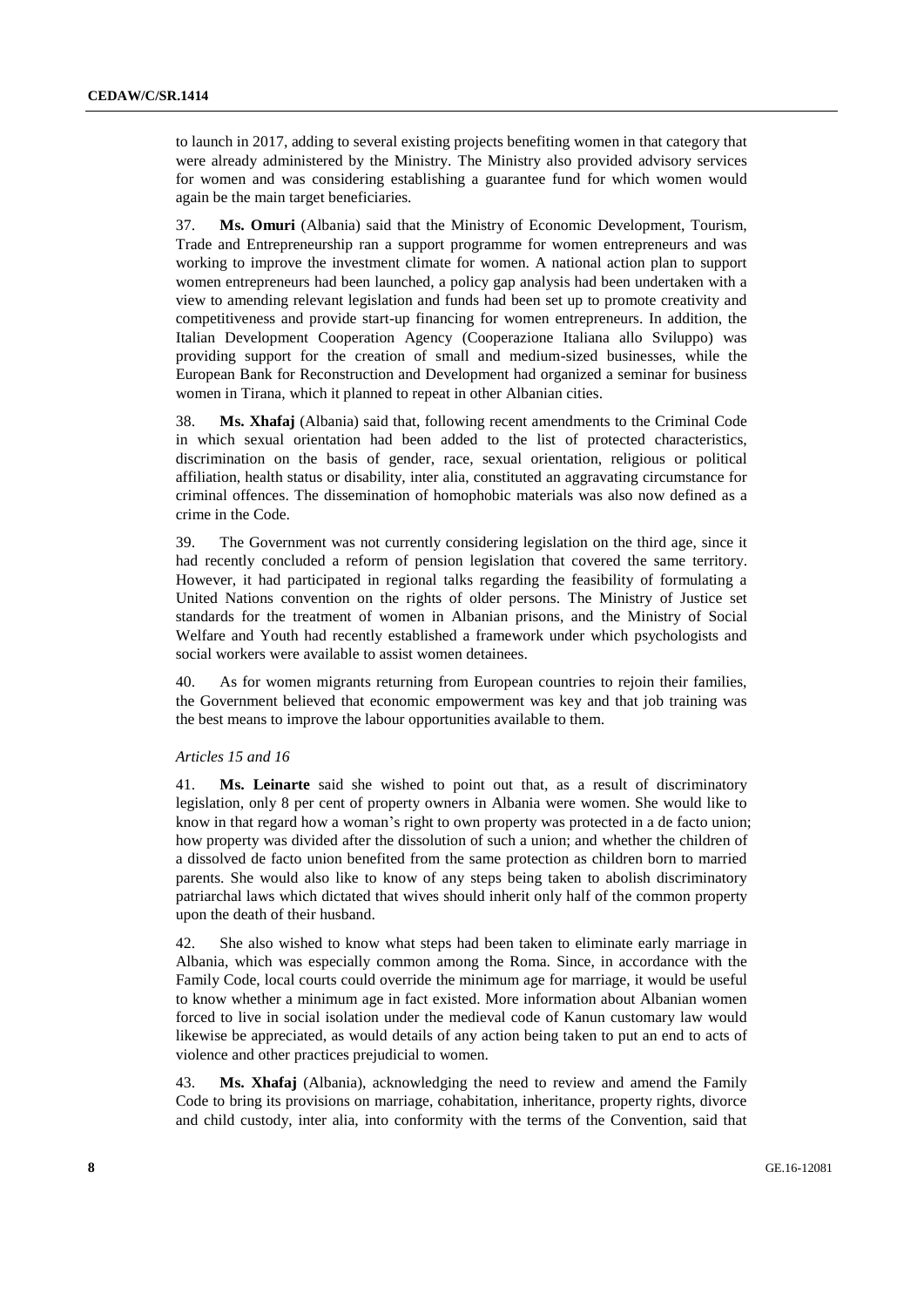to launch in 2017, adding to several existing projects benefiting women in that category that were already administered by the Ministry. The Ministry also provided advisory services for women and was considering establishing a guarantee fund for which women would again be the main target beneficiaries.

37. **Ms. Omuri** (Albania) said that the Ministry of Economic Development, Tourism, Trade and Entrepreneurship ran a support programme for women entrepreneurs and was working to improve the investment climate for women. A national action plan to support women entrepreneurs had been launched, a policy gap analysis had been undertaken with a view to amending relevant legislation and funds had been set up to promote creativity and competitiveness and provide start-up financing for women entrepreneurs. In addition, the Italian Development Cooperation Agency (Cooperazione Italiana allo Sviluppo) was providing support for the creation of small and medium-sized businesses, while the European Bank for Reconstruction and Development had organized a seminar for business women in Tirana, which it planned to repeat in other Albanian cities.

38. **Ms. Xhafaj** (Albania) said that, following recent amendments to the Criminal Code in which sexual orientation had been added to the list of protected characteristics, discrimination on the basis of gender, race, sexual orientation, religious or political affiliation, health status or disability, inter alia, constituted an aggravating circumstance for criminal offences. The dissemination of homophobic materials was also now defined as a crime in the Code.

39. The Government was not currently considering legislation on the third age, since it had recently concluded a reform of pension legislation that covered the same territory. However, it had participated in regional talks regarding the feasibility of formulating a United Nations convention on the rights of older persons. The Ministry of Justice set standards for the treatment of women in Albanian prisons, and the Ministry of Social Welfare and Youth had recently established a framework under which psychologists and social workers were available to assist women detainees.

40. As for women migrants returning from European countries to rejoin their families, the Government believed that economic empowerment was key and that job training was the best means to improve the labour opportunities available to them.

#### *Articles 15 and 16*

41. **Ms. Leinarte** said she wished to point out that, as a result of discriminatory legislation, only 8 per cent of property owners in Albania were women. She would like to know in that regard how a woman's right to own property was protected in a de facto union; how property was divided after the dissolution of such a union; and whether the children of a dissolved de facto union benefited from the same protection as children born to married parents. She would also like to know of any steps being taken to abolish discriminatory patriarchal laws which dictated that wives should inherit only half of the common property upon the death of their husband.

42. She also wished to know what steps had been taken to eliminate early marriage in Albania, which was especially common among the Roma. Since, in accordance with the Family Code, local courts could override the minimum age for marriage, it would be useful to know whether a minimum age in fact existed. More information about Albanian women forced to live in social isolation under the medieval code of Kanun customary law would likewise be appreciated, as would details of any action being taken to put an end to acts of violence and other practices prejudicial to women.

43. **Ms. Xhafaj** (Albania), acknowledging the need to review and amend the Family Code to bring its provisions on marriage, cohabitation, inheritance, property rights, divorce and child custody, inter alia, into conformity with the terms of the Convention, said that